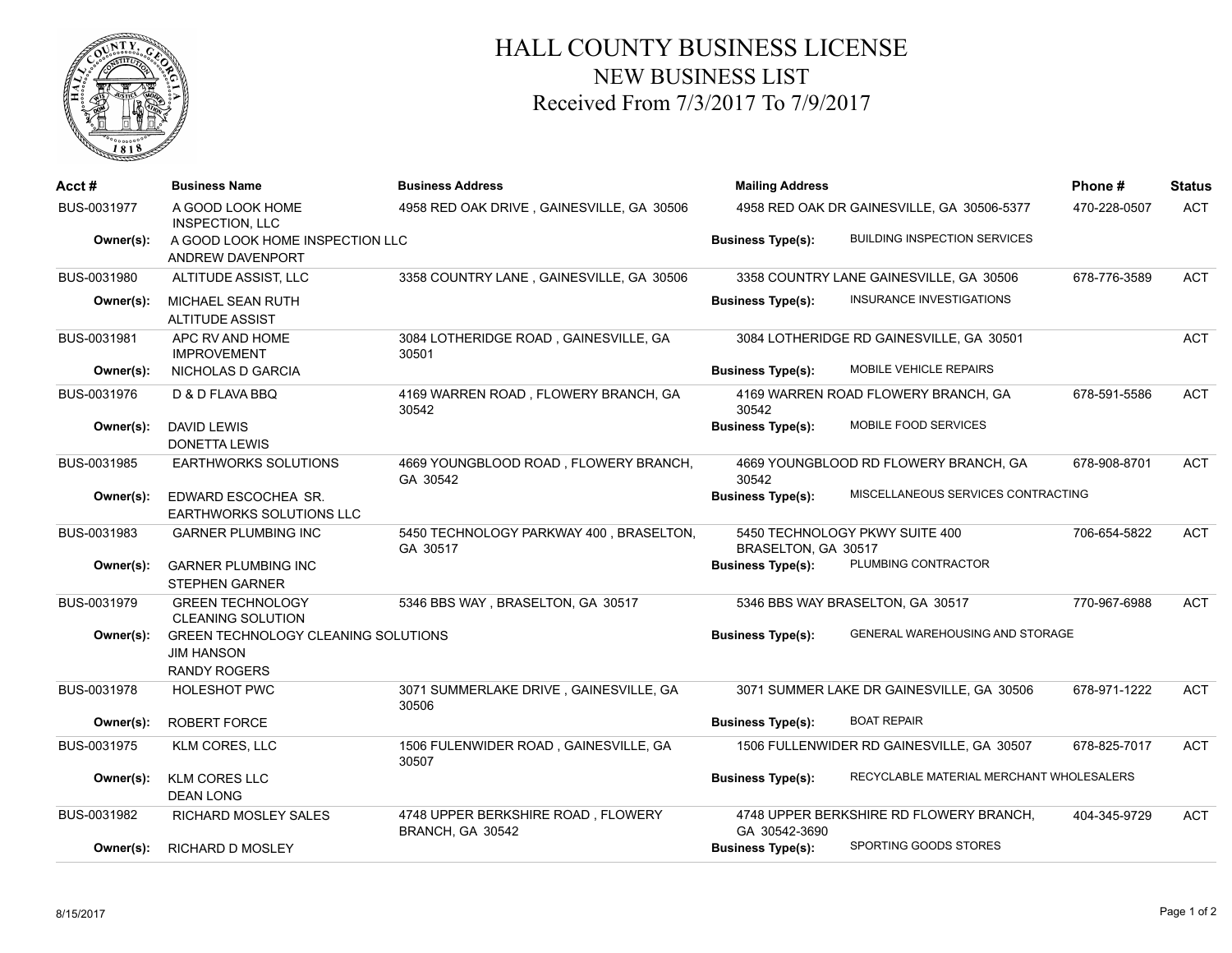

## HALL COUNTY BUSINESS LICENSE NEW BUSINESS LIST Received From 7/3/2017 To 7/9/2017

| Acct #      | <b>Business Name</b>                                                                   | <b>Business Address</b>                                | <b>Mailing Address</b>                                |                                           | Phone#       | <b>Status</b> |
|-------------|----------------------------------------------------------------------------------------|--------------------------------------------------------|-------------------------------------------------------|-------------------------------------------|--------------|---------------|
| BUS-0031977 | A GOOD LOOK HOME<br><b>INSPECTION, LLC</b>                                             | 4958 RED OAK DRIVE, GAINESVILLE, GA 30506              | 4958 RED OAK DR GAINESVILLE, GA 30506-5377            |                                           | 470-228-0507 | <b>ACT</b>    |
| Owner(s):   | A GOOD LOOK HOME INSPECTION LLC<br>ANDREW DAVENPORT                                    |                                                        | <b>Business Type(s):</b>                              | <b>BUILDING INSPECTION SERVICES</b>       |              |               |
| BUS-0031980 | ALTITUDE ASSIST, LLC                                                                   | 3358 COUNTRY LANE, GAINESVILLE, GA 30506               |                                                       | 3358 COUNTRY LANE GAINESVILLE, GA 30506   | 678-776-3589 | <b>ACT</b>    |
| Owner(s):   | MICHAEL SEAN RUTH<br><b>ALTITUDE ASSIST</b>                                            |                                                        | <b>Business Type(s):</b>                              | <b>INSURANCE INVESTIGATIONS</b>           |              |               |
| BUS-0031981 | APC RV AND HOME<br><b>IMPROVEMENT</b>                                                  | 3084 LOTHERIDGE ROAD, GAINESVILLE, GA<br>30501         |                                                       | 3084 LOTHERIDGE RD GAINESVILLE, GA 30501  |              | <b>ACT</b>    |
| Owner(s):   | NICHOLAS D GARCIA                                                                      |                                                        | <b>Business Type(s):</b>                              | MOBILE VEHICLE REPAIRS                    |              |               |
| BUS-0031976 | D & D FLAVA BBQ                                                                        | 4169 WARREN ROAD, FLOWERY BRANCH, GA<br>30542          | 30542                                                 | 4169 WARREN ROAD FLOWERY BRANCH, GA       | 678-591-5586 | <b>ACT</b>    |
| Owner(s):   | <b>DAVID LEWIS</b><br><b>DONETTA LEWIS</b>                                             |                                                        | <b>Business Type(s):</b>                              | MOBILE FOOD SERVICES                      |              |               |
| BUS-0031985 | <b>EARTHWORKS SOLUTIONS</b>                                                            | 4669 YOUNGBLOOD ROAD, FLOWERY BRANCH,<br>GA 30542      | 30542                                                 | 4669 YOUNGBLOOD RD FLOWERY BRANCH, GA     | 678-908-8701 | <b>ACT</b>    |
| Owner(s):   | EDWARD ESCOCHEA SR.<br><b>EARTHWORKS SOLUTIONS LLC</b>                                 |                                                        | <b>Business Type(s):</b>                              | MISCELLANEOUS SERVICES CONTRACTING        |              |               |
| BUS-0031983 | <b>GARNER PLUMBING INC</b>                                                             | 5450 TECHNOLOGY PARKWAY 400, BRASELTON,<br>GA 30517    | 5450 TECHNOLOGY PKWY SUITE 400<br>BRASELTON, GA 30517 |                                           | 706-654-5822 | <b>ACT</b>    |
| Owner(s):   | <b>GARNER PLUMBING INC</b><br><b>STEPHEN GARNER</b>                                    |                                                        | <b>Business Type(s):</b>                              | PLUMBING CONTRACTOR                       |              |               |
| BUS-0031979 | <b>GREEN TECHNOLOGY</b><br><b>CLEANING SOLUTION</b>                                    | 5346 BBS WAY, BRASELTON, GA 30517                      |                                                       | 5346 BBS WAY BRASELTON, GA 30517          | 770-967-6988 | <b>ACT</b>    |
| Owner(s):   | <b>GREEN TECHNOLOGY CLEANING SOLUTIONS</b><br><b>JIM HANSON</b><br><b>RANDY ROGERS</b> |                                                        | <b>Business Type(s):</b>                              | GENERAL WAREHOUSING AND STORAGE           |              |               |
| BUS-0031978 | <b>HOLESHOT PWC</b>                                                                    | 3071 SUMMERLAKE DRIVE, GAINESVILLE, GA<br>30506        |                                                       | 3071 SUMMER LAKE DR GAINESVILLE, GA 30506 | 678-971-1222 | <b>ACT</b>    |
| Owner(s):   | <b>ROBERT FORCE</b>                                                                    |                                                        | <b>Business Type(s):</b>                              | <b>BOAT REPAIR</b>                        |              |               |
| BUS-0031975 | <b>KLM CORES, LLC</b>                                                                  | 1506 FULENWIDER ROAD, GAINESVILLE, GA<br>30507         |                                                       | 1506 FULLENWIDER RD GAINESVILLE, GA 30507 | 678-825-7017 | <b>ACT</b>    |
| Owner(s):   | <b>KLM CORES LLC</b><br><b>DEAN LONG</b>                                               |                                                        | <b>Business Type(s):</b>                              | RECYCLABLE MATERIAL MERCHANT WHOLESALERS  |              |               |
| BUS-0031982 | RICHARD MOSLEY SALES                                                                   | 4748 UPPER BERKSHIRE ROAD, FLOWERY<br>BRANCH, GA 30542 | GA 30542-3690                                         | 4748 UPPER BERKSHIRE RD FLOWERY BRANCH,   | 404-345-9729 | <b>ACT</b>    |
| Owner(s):   | <b>RICHARD D MOSLEY</b>                                                                |                                                        | <b>Business Type(s):</b>                              | SPORTING GOODS STORES                     |              |               |